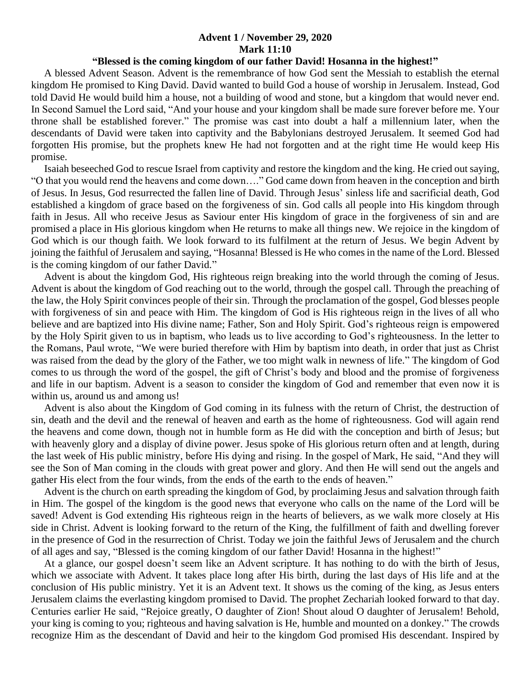## **Advent 1 / November 29, 2020 Mark 11:10**

## **"Blessed is the coming kingdom of our father David! Hosanna in the highest!"**

 A blessed Advent Season. Advent is the remembrance of how God sent the Messiah to establish the eternal kingdom He promised to King David. David wanted to build God a house of worship in Jerusalem. Instead, God told David He would build him a house, not a building of wood and stone, but a kingdom that would never end. In Second Samuel the Lord said, "And your house and your kingdom shall be made sure forever before me. Your throne shall be established forever." The promise was cast into doubt a half a millennium later, when the descendants of David were taken into captivity and the Babylonians destroyed Jerusalem. It seemed God had forgotten His promise, but the prophets knew He had not forgotten and at the right time He would keep His promise.

 Isaiah beseeched God to rescue Israel from captivity and restore the kingdom and the king. He cried out saying, "O that you would rend the heavens and come down…." God came down from heaven in the conception and birth of Jesus. In Jesus, God resurrected the fallen line of David. Through Jesus' sinless life and sacrificial death, God established a kingdom of grace based on the forgiveness of sin. God calls all people into His kingdom through faith in Jesus. All who receive Jesus as Saviour enter His kingdom of grace in the forgiveness of sin and are promised a place in His glorious kingdom when He returns to make all things new. We rejoice in the kingdom of God which is our though faith. We look forward to its fulfilment at the return of Jesus. We begin Advent by joining the faithful of Jerusalem and saying, "Hosanna! Blessed is He who comes in the name of the Lord. Blessed is the coming kingdom of our father David."

 Advent is about the kingdom God, His righteous reign breaking into the world through the coming of Jesus. Advent is about the kingdom of God reaching out to the world, through the gospel call. Through the preaching of the law, the Holy Spirit convinces people of their sin. Through the proclamation of the gospel, God blesses people with forgiveness of sin and peace with Him. The kingdom of God is His righteous reign in the lives of all who believe and are baptized into His divine name; Father, Son and Holy Spirit. God's righteous reign is empowered by the Holy Spirit given to us in baptism, who leads us to live according to God's righteousness. In the letter to the Romans, Paul wrote, "We were buried therefore with Him by baptism into death, in order that just as Christ was raised from the dead by the glory of the Father, we too might walk in newness of life." The kingdom of God comes to us through the word of the gospel, the gift of Christ's body and blood and the promise of forgiveness and life in our baptism. Advent is a season to consider the kingdom of God and remember that even now it is within us, around us and among us!

 Advent is also about the Kingdom of God coming in its fulness with the return of Christ, the destruction of sin, death and the devil and the renewal of heaven and earth as the home of righteousness. God will again rend the heavens and come down, though not in humble form as He did with the conception and birth of Jesus; but with heavenly glory and a display of divine power. Jesus spoke of His glorious return often and at length, during the last week of His public ministry, before His dying and rising. In the gospel of Mark, He said, "And they will see the Son of Man coming in the clouds with great power and glory. And then He will send out the angels and gather His elect from the four winds, from the ends of the earth to the ends of heaven."

 Advent is the church on earth spreading the kingdom of God, by proclaiming Jesus and salvation through faith in Him. The gospel of the kingdom is the good news that everyone who calls on the name of the Lord will be saved! Advent is God extending His righteous reign in the hearts of believers, as we walk more closely at His side in Christ. Advent is looking forward to the return of the King, the fulfillment of faith and dwelling forever in the presence of God in the resurrection of Christ. Today we join the faithful Jews of Jerusalem and the church of all ages and say, "Blessed is the coming kingdom of our father David! Hosanna in the highest!"

 At a glance, our gospel doesn't seem like an Advent scripture. It has nothing to do with the birth of Jesus, which we associate with Advent. It takes place long after His birth, during the last days of His life and at the conclusion of His public ministry. Yet it is an Advent text. It shows us the coming of the king, as Jesus enters Jerusalem claims the everlasting kingdom promised to David. The prophet Zechariah looked forward to that day. Centuries earlier He said, "Rejoice greatly, O daughter of Zion! Shout aloud O daughter of Jerusalem! Behold, your king is coming to you; righteous and having salvation is He, humble and mounted on a donkey." The crowds recognize Him as the descendant of David and heir to the kingdom God promised His descendant. Inspired by